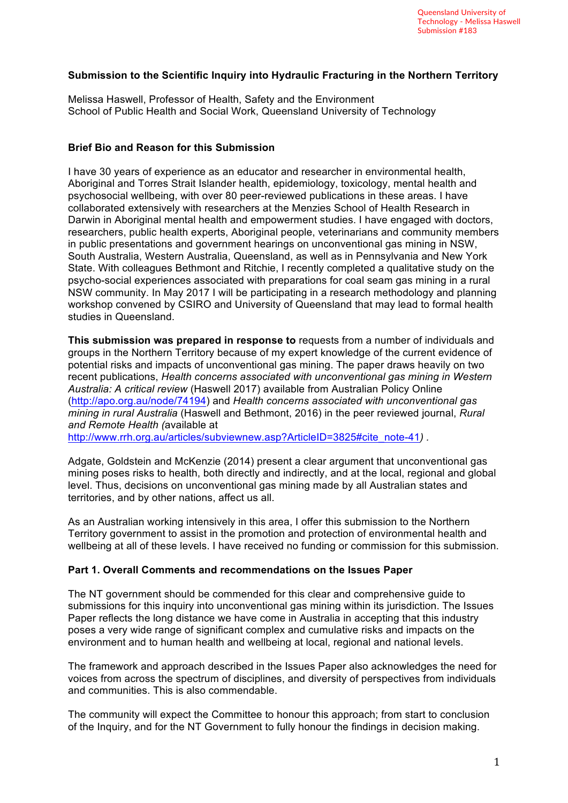### **Submission to the Scientific Inquiry into Hydraulic Fracturing in the Northern Territory**

Melissa Haswell, Professor of Health, Safety and the Environment School of Public Health and Social Work, Queensland University of Technology

### **Brief Bio and Reason for this Submission**

I have 30 years of experience as an educator and researcher in environmental health, Aboriginal and Torres Strait Islander health, epidemiology, toxicology, mental health and psychosocial wellbeing, with over 80 peer-reviewed publications in these areas. I have collaborated extensively with researchers at the Menzies School of Health Research in Darwin in Aboriginal mental health and empowerment studies. I have engaged with doctors, researchers, public health experts, Aboriginal people, veterinarians and community members in public presentations and government hearings on unconventional gas mining in NSW, South Australia, Western Australia, Queensland, as well as in Pennsylvania and New York State. With colleagues Bethmont and Ritchie, I recently completed a qualitative study on the psycho-social experiences associated with preparations for coal seam gas mining in a rural NSW community. In May 2017 I will be participating in a research methodology and planning workshop convened by CSIRO and University of Queensland that may lead to formal health studies in Queensland.

**This submission was prepared in response to** requests from a number of individuals and groups in the Northern Territory because of my expert knowledge of the current evidence of potential risks and impacts of unconventional gas mining. The paper draws heavily on two recent publications, *Health concerns associated with unconventional gas mining in Western Australia: A critical review* (Haswell 2017) available from Australian Policy Online (http://apo.org.au/node/74194) and *Health concerns associated with unconventional gas mining in rural Australia* (Haswell and Bethmont, 2016) in the peer reviewed journal, *Rural and Remote Health (*available at

http://www.rrh.org.au/articles/subviewnew.asp?ArticleID=3825#cite\_note-41) .

Adgate, Goldstein and McKenzie (2014) present a clear argument that unconventional gas mining poses risks to health, both directly and indirectly, and at the local, regional and global level. Thus, decisions on unconventional gas mining made by all Australian states and territories, and by other nations, affect us all.

As an Australian working intensively in this area, I offer this submission to the Northern Territory government to assist in the promotion and protection of environmental health and wellbeing at all of these levels. I have received no funding or commission for this submission.

### **Part 1. Overall Comments and recommendations on the Issues Paper**

The NT government should be commended for this clear and comprehensive guide to submissions for this inquiry into unconventional gas mining within its jurisdiction. The Issues Paper reflects the long distance we have come in Australia in accepting that this industry poses a very wide range of significant complex and cumulative risks and impacts on the environment and to human health and wellbeing at local, regional and national levels.

The framework and approach described in the Issues Paper also acknowledges the need for voices from across the spectrum of disciplines, and diversity of perspectives from individuals and communities. This is also commendable.

The community will expect the Committee to honour this approach; from start to conclusion of the Inquiry, and for the NT Government to fully honour the findings in decision making.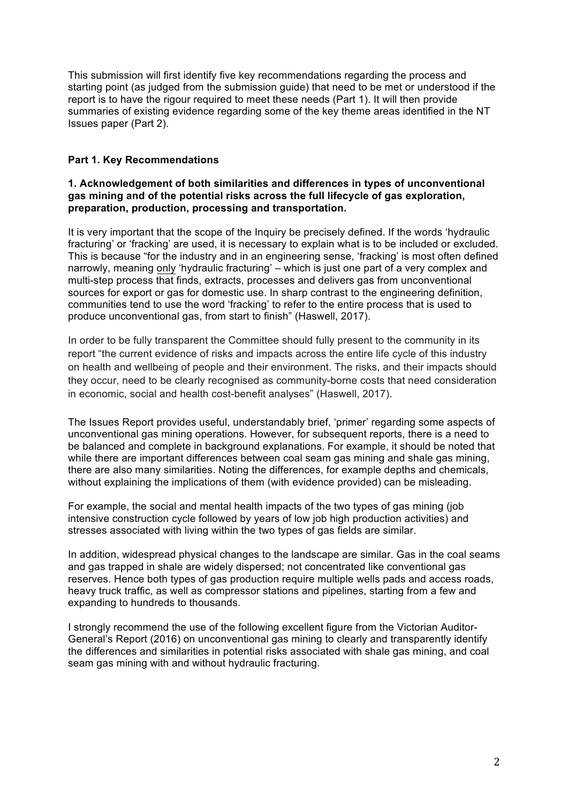This submission will first identify five key recommendations regarding the process and starting point (as judged from the submission guide) that need to be met or understood if the report is to have the rigour required to meet these needs (Part 1). It will then provide summaries of existing evidence regarding some of the key theme areas identified in the NT Issues paper (Part 2).

### **Part 1. Key Recommendations**

#### **1. Acknowledgement of both similarities and differences in types of unconventional gas mining and of the potential risks across the full lifecycle of gas exploration, preparation, production, processing and transportation.**

It is very important that the scope of the Inquiry be precisely defined. If the words 'hydraulic fracturing' or 'fracking' are used, it is necessary to explain what is to be included or excluded. This is because "for the industry and in an engineering sense, 'fracking' is most often defined narrowly, meaning only 'hydraulic fracturing' – which is just one part of a very complex and multi-step process that finds, extracts, processes and delivers gas from unconventional sources for export or gas for domestic use. In sharp contrast to the engineering definition, communities tend to use the word 'fracking' to refer to the entire process that is used to produce unconventional gas, from start to finish" (Haswell, 2017).

In order to be fully transparent the Committee should fully present to the community in its report "the current evidence of risks and impacts across the entire life cycle of this industry on health and wellbeing of people and their environment. The risks, and their impacts should they occur, need to be clearly recognised as community-borne costs that need consideration in economic, social and health cost-benefit analyses" (Haswell, 2017).

The Issues Report provides useful, understandably brief, 'primer' regarding some aspects of unconventional gas mining operations. However, for subsequent reports, there is a need to be balanced and complete in background explanations. For example, it should be noted that while there are important differences between coal seam gas mining and shale gas mining. there are also many similarities. Noting the differences, for example depths and chemicals, without explaining the implications of them (with evidence provided) can be misleading.

For example, the social and mental health impacts of the two types of gas mining (job intensive construction cycle followed by years of low job high production activities) and stresses associated with living within the two types of gas fields are similar.

In addition, widespread physical changes to the landscape are similar. Gas in the coal seams and gas trapped in shale are widely dispersed; not concentrated like conventional gas reserves. Hence both types of gas production require multiple wells pads and access roads, heavy truck traffic, as well as compressor stations and pipelines, starting from a few and expanding to hundreds to thousands.

I strongly recommend the use of the following excellent figure from the Victorian Auditor-General's Report (2016) on unconventional gas mining to clearly and transparently identify the differences and similarities in potential risks associated with shale gas mining, and coal seam gas mining with and without hydraulic fracturing.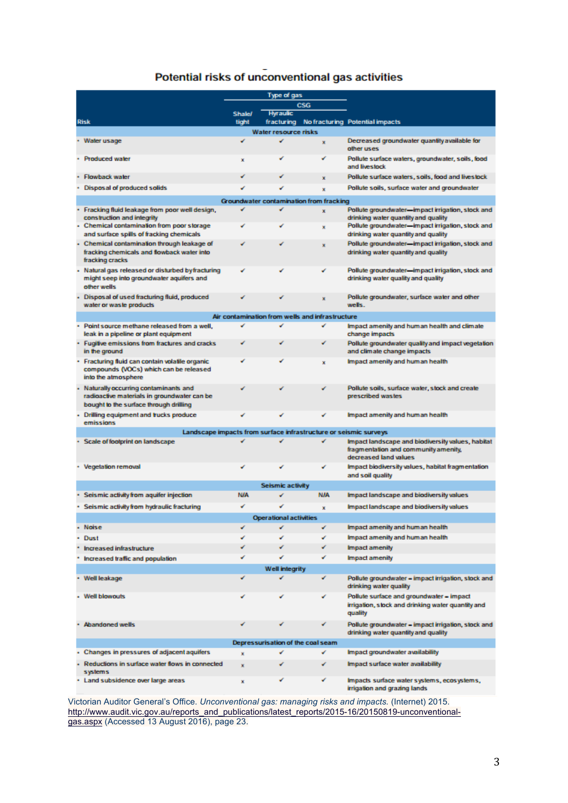# Potential risks of unconventional gas activities

|                               |                                                                                                                               | <b>Type of gas</b> |                 |             |                                                                                                          |  |
|-------------------------------|-------------------------------------------------------------------------------------------------------------------------------|--------------------|-----------------|-------------|----------------------------------------------------------------------------------------------------------|--|
|                               |                                                                                                                               |                    | <b>CSG</b>      |             |                                                                                                          |  |
|                               |                                                                                                                               | <b>Shale/</b>      | <b>Hyraulic</b> |             |                                                                                                          |  |
|                               | <b>Risk</b>                                                                                                                   | tight              |                 |             | fracturing No fracturing Potential impacts                                                               |  |
| <b>Water resource risks</b>   |                                                                                                                               |                    |                 |             |                                                                                                          |  |
|                               | Water usage                                                                                                                   | ✔                  | ✔               | ×           | Decreased groundwater quantity available for<br>other uses                                               |  |
|                               | <b>Produced water</b>                                                                                                         | x                  |                 |             | Pollute surface waters, groundwater, soils, food<br>and livestock                                        |  |
|                               | <b>Flowback water</b>                                                                                                         |                    |                 | ×           | Pollute surface waters, soils, food and livestock                                                        |  |
|                               | Disposal of produced solids                                                                                                   |                    |                 | ×           | Pollute soils, surface water and groundwater                                                             |  |
|                               | Groundwater contamination from fracking                                                                                       |                    |                 |             |                                                                                                          |  |
|                               | Fracking fluid leakage from poor well design,<br>construction and integrity                                                   | ✔                  | ✔               | x           | Pollute groundwater-impact irrigation, stock and<br>drinking water quantity and quality                  |  |
|                               | Chemical contamination from poor storage<br>and surface spills of fracking chemicals                                          |                    |                 | ×           | Pollute groundwater-impact irrigation, stock and<br>drinking water quantity and quality                  |  |
|                               | Chemical contamination through leakage of<br>fracking chemicals and flowback water into                                       |                    |                 |             | Pollute groundwater-impact irrigation, stock and<br>drinking water quantity and quality                  |  |
|                               | fracking cracks                                                                                                               |                    |                 |             |                                                                                                          |  |
|                               | Natural gas released or disturbed byfracturing<br>might seep into groundwater aquifers and<br>other wells                     | س                  |                 | ✓           | Pollute groundwater-impact irrigation, stock and<br>drinking water quality and quality                   |  |
|                               | Disposal of used fracturing fluid, produced<br>water or was te products                                                       |                    |                 | ×           | Pollute groundwater, surface water and other<br>wells.                                                   |  |
|                               | Air contamination from wells and infrastructure                                                                               |                    |                 |             |                                                                                                          |  |
|                               | Point source methane released from a well,                                                                                    |                    |                 | ✔           | Impact amenity and human health and climate                                                              |  |
|                               | leak in a pipeline or plant equipment<br>Fugitive emissions from fractures and cracks                                         |                    |                 |             | change impacts<br>Pollute groundwater quality and impact vegetation                                      |  |
|                               | in the ground                                                                                                                 |                    |                 |             | and climate change impacts<br>Impact amenity and human health                                            |  |
|                               | Fracturing fluid can contain volatile organic<br>compounds (VOCs) which can be released<br>into the atmosphere                |                    |                 | ×           |                                                                                                          |  |
|                               | Naturally occurring contaminants and<br>radioactive materials in groundwater can be<br>bought to the surface through drilling |                    |                 |             | Pollute soils, surface water, stock and create<br>prescribed wastes                                      |  |
|                               | Drilling equipment and trucks produce<br>emissions                                                                            |                    |                 |             | Impact amenity and human health                                                                          |  |
|                               | Landscape impacts from surface infrastructure or seismic surveys                                                              |                    |                 |             |                                                                                                          |  |
|                               | Scale of footprint on landscape<br>✔<br>Impact landscape and biodiversity values, habitat                                     |                    |                 |             |                                                                                                          |  |
|                               |                                                                                                                               |                    |                 |             | fragmentation and community amenity,<br>decreased land values                                            |  |
|                               | · Vegetation removal                                                                                                          |                    | س               | ✔           | Impact biodiversity values, habitat fragmentation                                                        |  |
|                               |                                                                                                                               |                    |                 |             | and soil quality                                                                                         |  |
|                               | <b>Seismic activity</b><br><b>N/A</b>                                                                                         |                    |                 |             |                                                                                                          |  |
|                               | Seismic activity from aquifer injection                                                                                       | <b>N/A</b>         |                 |             | Impact landscape and biodiversity values                                                                 |  |
|                               | · Seismic activity from hydraulic fracturing                                                                                  | نی                 |                 | $\mathbf x$ | Impact landscape and biodiversity values                                                                 |  |
| <b>Operational activities</b> |                                                                                                                               |                    |                 |             |                                                                                                          |  |
|                               | <b>Noise</b>                                                                                                                  | ✔                  | v               | ✔           | Impact amenity and human health                                                                          |  |
|                               | <b>Dust</b>                                                                                                                   | ✔                  | ✔               | ✔           | Impact amenity and human health                                                                          |  |
|                               | Increased infrastructure                                                                                                      | ✓                  | ✔               | ✔           | <b>Impact amenity</b>                                                                                    |  |
|                               | Increased traffic and population                                                                                              | ✓                  | ✔               | ✔           | <b>Impact amenity</b>                                                                                    |  |
| <b>Well integrity</b>         |                                                                                                                               |                    |                 |             |                                                                                                          |  |
|                               | Well leakage                                                                                                                  | ✔                  | ✔               | ✔           | Pollute groundwater - impact irrigation, stock and<br>drinking water quality                             |  |
|                               | <b>Well blowouts</b>                                                                                                          | ✔                  | ✔               | ✔           | Pollute surface and groundwater - impact<br>irrigation, stock and drinking water quantity and<br>quality |  |
|                               | <b>Abandoned wells</b>                                                                                                        |                    |                 | ✔           | Pollute groundwater - impact irrigation, stock and<br>drinking water quantity and quality                |  |
|                               | Depressurisation of the coal seam                                                                                             |                    |                 |             |                                                                                                          |  |
|                               | Changes in pressures of adjacent aquifers                                                                                     | ×                  | ✔               | ✔           | Impact groundwater availability                                                                          |  |
|                               | Reductions in surface water flows in connected<br>systems                                                                     | ×                  | ✔               | ✔           | Impact surface water availability                                                                        |  |
|                               | · Land subsidence over large areas                                                                                            | x                  | ✔               | ✓           | Impacts surface water systems, ecosystems,<br>irrigation and grazing lands                               |  |

Victorian Auditor General's Office. *Unconventional gas: managing risks and impacts.* (Internet) 2015. http://www.audit.vic.gov.au/reports\_and\_publications/latest\_reports/2015-16/20150819-unconventionalgas.aspx (Accessed 13 August 2016), page 23.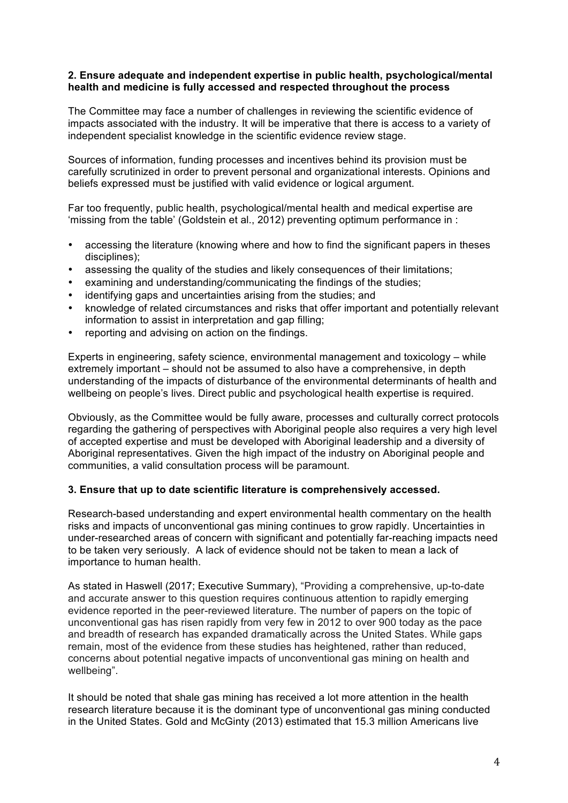#### **2. Ensure adequate and independent expertise in public health, psychological/mental health and medicine is fully accessed and respected throughout the process**

The Committee may face a number of challenges in reviewing the scientific evidence of impacts associated with the industry. It will be imperative that there is access to a variety of independent specialist knowledge in the scientific evidence review stage.

Sources of information, funding processes and incentives behind its provision must be carefully scrutinized in order to prevent personal and organizational interests. Opinions and beliefs expressed must be justified with valid evidence or logical argument.

Far too frequently, public health, psychological/mental health and medical expertise are 'missing from the table' (Goldstein et al., 2012) preventing optimum performance in :

- accessing the literature (knowing where and how to find the significant papers in theses disciplines);
- assessing the quality of the studies and likely consequences of their limitations;
- examining and understanding/communicating the findings of the studies;
- identifying gaps and uncertainties arising from the studies; and
- knowledge of related circumstances and risks that offer important and potentially relevant information to assist in interpretation and gap filling;
- reporting and advising on action on the findings.

Experts in engineering, safety science, environmental management and toxicology – while extremely important – should not be assumed to also have a comprehensive, in depth understanding of the impacts of disturbance of the environmental determinants of health and wellbeing on people's lives. Direct public and psychological health expertise is required.

Obviously, as the Committee would be fully aware, processes and culturally correct protocols regarding the gathering of perspectives with Aboriginal people also requires a very high level of accepted expertise and must be developed with Aboriginal leadership and a diversity of Aboriginal representatives. Given the high impact of the industry on Aboriginal people and communities, a valid consultation process will be paramount.

### **3. Ensure that up to date scientific literature is comprehensively accessed.**

Research-based understanding and expert environmental health commentary on the health risks and impacts of unconventional gas mining continues to grow rapidly. Uncertainties in under-researched areas of concern with significant and potentially far-reaching impacts need to be taken very seriously. A lack of evidence should not be taken to mean a lack of importance to human health.

As stated in Haswell (2017; Executive Summary), "Providing a comprehensive, up-to-date and accurate answer to this question requires continuous attention to rapidly emerging evidence reported in the peer-reviewed literature. The number of papers on the topic of unconventional gas has risen rapidly from very few in 2012 to over 900 today as the pace and breadth of research has expanded dramatically across the United States. While gaps remain, most of the evidence from these studies has heightened, rather than reduced, concerns about potential negative impacts of unconventional gas mining on health and wellbeing".

It should be noted that shale gas mining has received a lot more attention in the health research literature because it is the dominant type of unconventional gas mining conducted in the United States. Gold and McGinty (2013) estimated that 15.3 million Americans live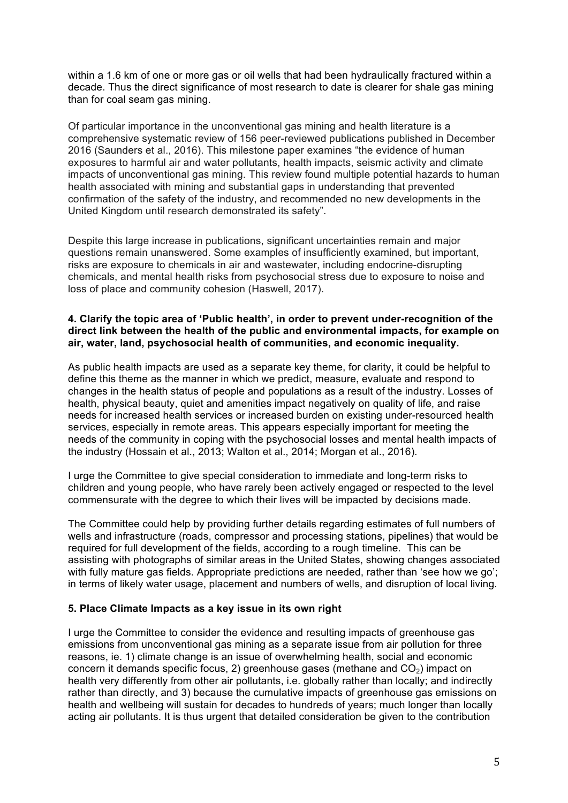within a 1.6 km of one or more gas or oil wells that had been hydraulically fractured within a decade. Thus the direct significance of most research to date is clearer for shale gas mining than for coal seam gas mining.

Of particular importance in the unconventional gas mining and health literature is a comprehensive systematic review of 156 peer-reviewed publications published in December 2016 (Saunders et al., 2016). This milestone paper examines "the evidence of human exposures to harmful air and water pollutants, health impacts, seismic activity and climate impacts of unconventional gas mining. This review found multiple potential hazards to human health associated with mining and substantial gaps in understanding that prevented confirmation of the safety of the industry, and recommended no new developments in the United Kingdom until research demonstrated its safety".

Despite this large increase in publications, significant uncertainties remain and major questions remain unanswered. Some examples of insufficiently examined, but important, risks are exposure to chemicals in air and wastewater, including endocrine-disrupting chemicals, and mental health risks from psychosocial stress due to exposure to noise and loss of place and community cohesion (Haswell, 2017).

#### **4. Clarify the topic area of 'Public health', in order to prevent under-recognition of the direct link between the health of the public and environmental impacts, for example on air, water, land, psychosocial health of communities, and economic inequality.**

As public health impacts are used as a separate key theme, for clarity, it could be helpful to define this theme as the manner in which we predict, measure, evaluate and respond to changes in the health status of people and populations as a result of the industry. Losses of health, physical beauty, quiet and amenities impact negatively on quality of life, and raise needs for increased health services or increased burden on existing under-resourced health services, especially in remote areas. This appears especially important for meeting the needs of the community in coping with the psychosocial losses and mental health impacts of the industry (Hossain et al., 2013; Walton et al., 2014; Morgan et al., 2016).

I urge the Committee to give special consideration to immediate and long-term risks to children and young people, who have rarely been actively engaged or respected to the level commensurate with the degree to which their lives will be impacted by decisions made.

The Committee could help by providing further details regarding estimates of full numbers of wells and infrastructure (roads, compressor and processing stations, pipelines) that would be required for full development of the fields, according to a rough timeline. This can be assisting with photographs of similar areas in the United States, showing changes associated with fully mature gas fields. Appropriate predictions are needed, rather than 'see how we go'; in terms of likely water usage, placement and numbers of wells, and disruption of local living.

### **5. Place Climate Impacts as a key issue in its own right**

I urge the Committee to consider the evidence and resulting impacts of greenhouse gas emissions from unconventional gas mining as a separate issue from air pollution for three reasons, ie. 1) climate change is an issue of overwhelming health, social and economic concern it demands specific focus, 2) greenhouse gases (methane and  $CO<sub>2</sub>$ ) impact on health very differently from other air pollutants, i.e. globally rather than locally; and indirectly rather than directly, and 3) because the cumulative impacts of greenhouse gas emissions on health and wellbeing will sustain for decades to hundreds of years; much longer than locally acting air pollutants. It is thus urgent that detailed consideration be given to the contribution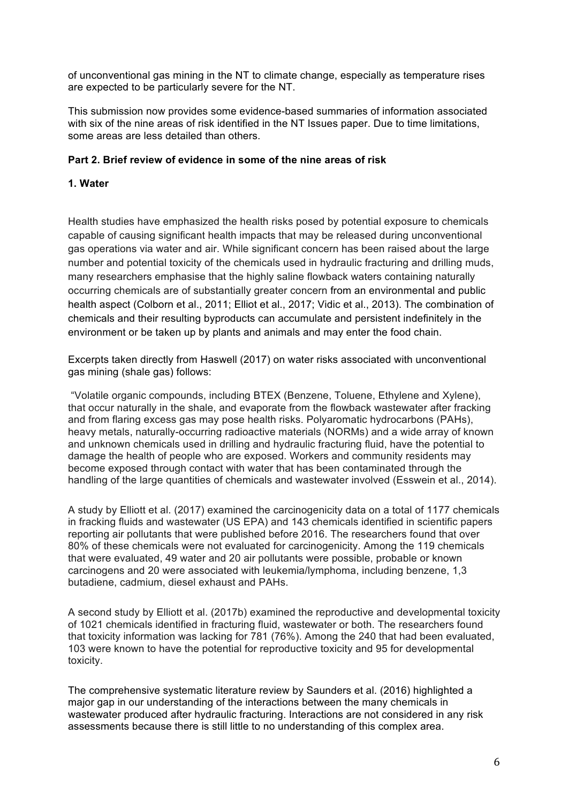of unconventional gas mining in the NT to climate change, especially as temperature rises are expected to be particularly severe for the NT.

This submission now provides some evidence-based summaries of information associated with six of the nine areas of risk identified in the NT Issues paper. Due to time limitations, some areas are less detailed than others.

### **Part 2. Brief review of evidence in some of the nine areas of risk**

### **1. Water**

Health studies have emphasized the health risks posed by potential exposure to chemicals capable of causing significant health impacts that may be released during unconventional gas operations via water and air. While significant concern has been raised about the large number and potential toxicity of the chemicals used in hydraulic fracturing and drilling muds, many researchers emphasise that the highly saline flowback waters containing naturally occurring chemicals are of substantially greater concern from an environmental and public health aspect (Colborn et al., 2011; Elliot et al., 2017; Vidic et al., 2013). The combination of chemicals and their resulting byproducts can accumulate and persistent indefinitely in the environment or be taken up by plants and animals and may enter the food chain.

Excerpts taken directly from Haswell (2017) on water risks associated with unconventional gas mining (shale gas) follows:

"Volatile organic compounds, including BTEX (Benzene, Toluene, Ethylene and Xylene), that occur naturally in the shale, and evaporate from the flowback wastewater after fracking and from flaring excess gas may pose health risks. Polyaromatic hydrocarbons (PAHs), heavy metals, naturally-occurring radioactive materials (NORMs) and a wide array of known and unknown chemicals used in drilling and hydraulic fracturing fluid, have the potential to damage the health of people who are exposed. Workers and community residents may become exposed through contact with water that has been contaminated through the handling of the large quantities of chemicals and wastewater involved (Esswein et al., 2014).

A study by Elliott et al. (2017) examined the carcinogenicity data on a total of 1177 chemicals in fracking fluids and wastewater (US EPA) and 143 chemicals identified in scientific papers reporting air pollutants that were published before 2016. The researchers found that over 80% of these chemicals were not evaluated for carcinogenicity. Among the 119 chemicals that were evaluated, 49 water and 20 air pollutants were possible, probable or known carcinogens and 20 were associated with leukemia/lymphoma, including benzene, 1,3 butadiene, cadmium, diesel exhaust and PAHs.

A second study by Elliott et al. (2017b) examined the reproductive and developmental toxicity of 1021 chemicals identified in fracturing fluid, wastewater or both. The researchers found that toxicity information was lacking for 781 (76%). Among the 240 that had been evaluated, 103 were known to have the potential for reproductive toxicity and 95 for developmental toxicity.

The comprehensive systematic literature review by Saunders et al. (2016) highlighted a major gap in our understanding of the interactions between the many chemicals in wastewater produced after hydraulic fracturing. Interactions are not considered in any risk assessments because there is still little to no understanding of this complex area.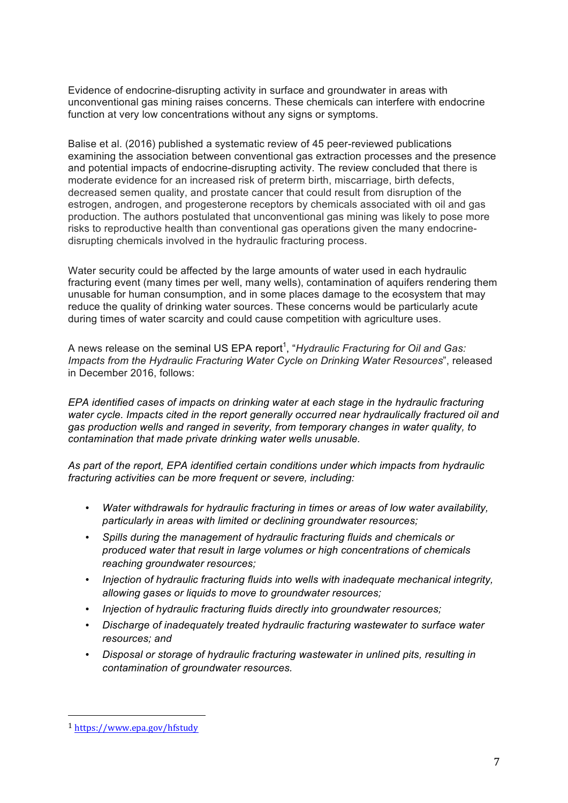Evidence of endocrine-disrupting activity in surface and groundwater in areas with unconventional gas mining raises concerns. These chemicals can interfere with endocrine function at very low concentrations without any signs or symptoms.

Balise et al. (2016) published a systematic review of 45 peer-reviewed publications examining the association between conventional gas extraction processes and the presence and potential impacts of endocrine-disrupting activity. The review concluded that there is moderate evidence for an increased risk of preterm birth, miscarriage, birth defects, decreased semen quality, and prostate cancer that could result from disruption of the estrogen, androgen, and progesterone receptors by chemicals associated with oil and gas production. The authors postulated that unconventional gas mining was likely to pose more risks to reproductive health than conventional gas operations given the many endocrinedisrupting chemicals involved in the hydraulic fracturing process.

Water security could be affected by the large amounts of water used in each hydraulic fracturing event (many times per well, many wells), contamination of aquifers rendering them unusable for human consumption, and in some places damage to the ecosystem that may reduce the quality of drinking water sources. These concerns would be particularly acute during times of water scarcity and could cause competition with agriculture uses.

A news release on the seminal US EPA report<sup>1</sup>, "*Hydraulic Fracturing for Oil and Gas: Impacts from the Hydraulic Fracturing Water Cycle on Drinking Water Resources*", released in December 2016, follows:

*EPA identified cases of impacts on drinking water at each stage in the hydraulic fracturing water cycle. Impacts cited in the report generally occurred near hydraulically fractured oil and gas production wells and ranged in severity, from temporary changes in water quality, to contamination that made private drinking water wells unusable.*

*As part of the report, EPA identified certain conditions under which impacts from hydraulic fracturing activities can be more frequent or severe, including:*

- *Water withdrawals for hydraulic fracturing in times or areas of low water availability, particularly in areas with limited or declining groundwater resources;*
- *Spills during the management of hydraulic fracturing fluids and chemicals or produced water that result in large volumes or high concentrations of chemicals reaching groundwater resources;*
- *Injection of hydraulic fracturing fluids into wells with inadequate mechanical integrity, allowing gases or liquids to move to groundwater resources;*
- *Injection of hydraulic fracturing fluids directly into groundwater resources;*
- *Discharge of inadequately treated hydraulic fracturing wastewater to surface water resources; and*
- *Disposal or storage of hydraulic fracturing wastewater in unlined pits, resulting in contamination of groundwater resources.*

 <sup>1</sup> https://www.epa.gov/hfstudy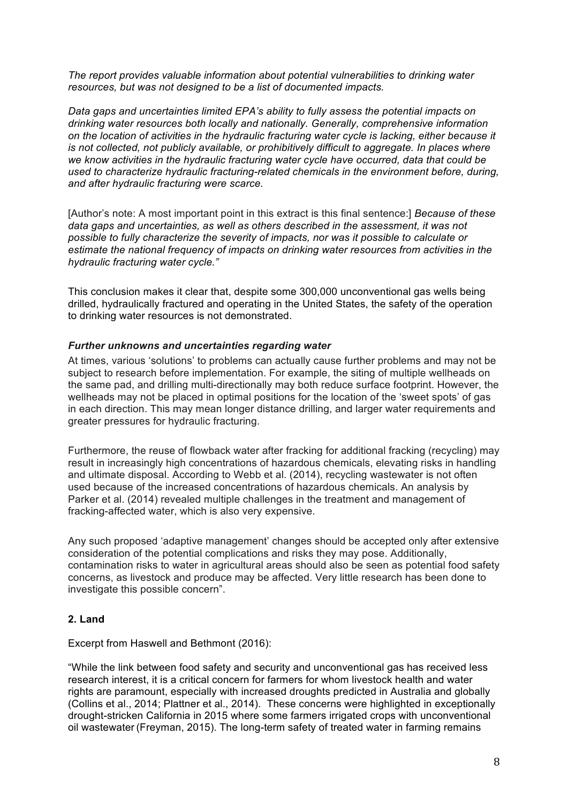*The report provides valuable information about potential vulnerabilities to drinking water resources, but was not designed to be a list of documented impacts.*

*Data gaps and uncertainties limited EPA's ability to fully assess the potential impacts on drinking water resources both locally and nationally. Generally, comprehensive information on the location of activities in the hydraulic fracturing water cycle is lacking, either because it is not collected, not publicly available, or prohibitively difficult to aggregate. In places where we know activities in the hydraulic fracturing water cycle have occurred, data that could be used to characterize hydraulic fracturing-related chemicals in the environment before, during, and after hydraulic fracturing were scarce.*

[Author's note: A most important point in this extract is this final sentence:] *Because of these data gaps and uncertainties, as well as others described in the assessment, it was not possible to fully characterize the severity of impacts, nor was it possible to calculate or estimate the national frequency of impacts on drinking water resources from activities in the hydraulic fracturing water cycle."*

This conclusion makes it clear that, despite some 300,000 unconventional gas wells being drilled, hydraulically fractured and operating in the United States, the safety of the operation to drinking water resources is not demonstrated.

#### *Further unknowns and uncertainties regarding water*

At times, various 'solutions' to problems can actually cause further problems and may not be subject to research before implementation. For example, the siting of multiple wellheads on the same pad, and drilling multi-directionally may both reduce surface footprint. However, the wellheads may not be placed in optimal positions for the location of the 'sweet spots' of gas in each direction. This may mean longer distance drilling, and larger water requirements and greater pressures for hydraulic fracturing.

Furthermore, the reuse of flowback water after fracking for additional fracking (recycling) may result in increasingly high concentrations of hazardous chemicals, elevating risks in handling and ultimate disposal. According to Webb et al. (2014), recycling wastewater is not often used because of the increased concentrations of hazardous chemicals. An analysis by Parker et al. (2014) revealed multiple challenges in the treatment and management of fracking-affected water, which is also very expensive.

Any such proposed 'adaptive management' changes should be accepted only after extensive consideration of the potential complications and risks they may pose. Additionally, contamination risks to water in agricultural areas should also be seen as potential food safety concerns, as livestock and produce may be affected. Very little research has been done to investigate this possible concern".

### **2. Land**

#### Excerpt from Haswell and Bethmont (2016):

"While the link between food safety and security and unconventional gas has received less research interest, it is a critical concern for farmers for whom livestock health and water rights are paramount, especially with increased droughts predicted in Australia and globally (Collins et al., 2014; Plattner et al., 2014). These concerns were highlighted in exceptionally drought-stricken California in 2015 where some farmers irrigated crops with unconventional oil wastewater (Freyman, 2015). The long-term safety of treated water in farming remains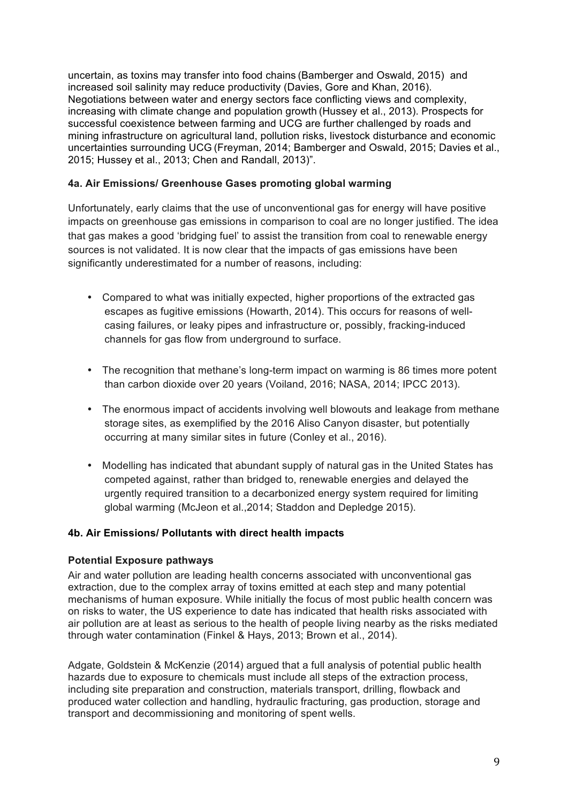uncertain, as toxins may transfer into food chains (Bamberger and Oswald, 2015) and increased soil salinity may reduce productivity (Davies, Gore and Khan, 2016). Negotiations between water and energy sectors face conflicting views and complexity, increasing with climate change and population growth (Hussey et al., 2013). Prospects for successful coexistence between farming and UCG are further challenged by roads and mining infrastructure on agricultural land, pollution risks, livestock disturbance and economic uncertainties surrounding UCG (Freyman, 2014; Bamberger and Oswald, 2015; Davies et al., 2015; Hussey et al., 2013; Chen and Randall, 2013)".

### **4a. Air Emissions/ Greenhouse Gases promoting global warming**

Unfortunately, early claims that the use of unconventional gas for energy will have positive impacts on greenhouse gas emissions in comparison to coal are no longer justified. The idea that gas makes a good 'bridging fuel' to assist the transition from coal to renewable energy sources is not validated. It is now clear that the impacts of gas emissions have been significantly underestimated for a number of reasons, including:

- Compared to what was initially expected, higher proportions of the extracted gas escapes as fugitive emissions (Howarth, 2014). This occurs for reasons of wellcasing failures, or leaky pipes and infrastructure or, possibly, fracking-induced channels for gas flow from underground to surface.
- The recognition that methane's long-term impact on warming is 86 times more potent than carbon dioxide over 20 years (Voiland, 2016; NASA, 2014; IPCC 2013).
- The enormous impact of accidents involving well blowouts and leakage from methane storage sites, as exemplified by the 2016 Aliso Canyon disaster, but potentially occurring at many similar sites in future (Conley et al., 2016).
- Modelling has indicated that abundant supply of natural gas in the United States has competed against, rather than bridged to, renewable energies and delayed the urgently required transition to a decarbonized energy system required for limiting global warming (McJeon et al.,2014; Staddon and Depledge 2015).

## **4b. Air Emissions/ Pollutants with direct health impacts**

### **Potential Exposure pathways**

Air and water pollution are leading health concerns associated with unconventional gas extraction, due to the complex array of toxins emitted at each step and many potential mechanisms of human exposure. While initially the focus of most public health concern was on risks to water, the US experience to date has indicated that health risks associated with air pollution are at least as serious to the health of people living nearby as the risks mediated through water contamination (Finkel & Hays, 2013; Brown et al., 2014).

Adgate, Goldstein & McKenzie (2014) argued that a full analysis of potential public health hazards due to exposure to chemicals must include all steps of the extraction process, including site preparation and construction, materials transport, drilling, flowback and produced water collection and handling, hydraulic fracturing, gas production, storage and transport and decommissioning and monitoring of spent wells.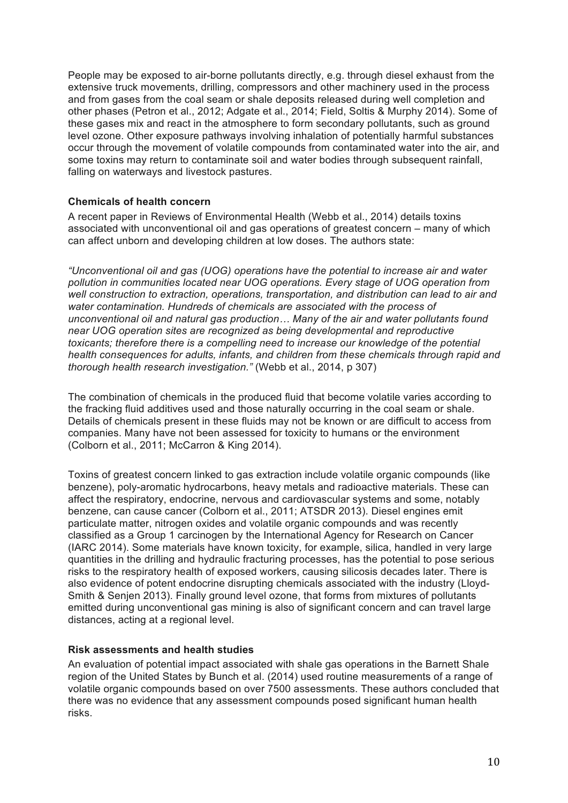People may be exposed to air-borne pollutants directly, e.g. through diesel exhaust from the extensive truck movements, drilling, compressors and other machinery used in the process and from gases from the coal seam or shale deposits released during well completion and other phases (Petron et al., 2012; Adgate et al., 2014; Field, Soltis & Murphy 2014). Some of these gases mix and react in the atmosphere to form secondary pollutants, such as ground level ozone. Other exposure pathways involving inhalation of potentially harmful substances occur through the movement of volatile compounds from contaminated water into the air, and some toxins may return to contaminate soil and water bodies through subsequent rainfall, falling on waterways and livestock pastures.

### **Chemicals of health concern**

A recent paper in Reviews of Environmental Health (Webb et al., 2014) details toxins associated with unconventional oil and gas operations of greatest concern – many of which can affect unborn and developing children at low doses. The authors state:

*"Unconventional oil and gas (UOG) operations have the potential to increase air and water pollution in communities located near UOG operations. Every stage of UOG operation from well construction to extraction, operations, transportation, and distribution can lead to air and water contamination. Hundreds of chemicals are associated with the process of unconventional oil and natural gas production… Many of the air and water pollutants found near UOG operation sites are recognized as being developmental and reproductive toxicants; therefore there is a compelling need to increase our knowledge of the potential health consequences for adults, infants, and children from these chemicals through rapid and thorough health research investigation."* (Webb et al., 2014, p 307)

The combination of chemicals in the produced fluid that become volatile varies according to the fracking fluid additives used and those naturally occurring in the coal seam or shale. Details of chemicals present in these fluids may not be known or are difficult to access from companies. Many have not been assessed for toxicity to humans or the environment (Colborn et al., 2011; McCarron & King 2014).

Toxins of greatest concern linked to gas extraction include volatile organic compounds (like benzene), poly-aromatic hydrocarbons, heavy metals and radioactive materials. These can affect the respiratory, endocrine, nervous and cardiovascular systems and some, notably benzene, can cause cancer (Colborn et al., 2011; ATSDR 2013). Diesel engines emit particulate matter, nitrogen oxides and volatile organic compounds and was recently classified as a Group 1 carcinogen by the International Agency for Research on Cancer (IARC 2014). Some materials have known toxicity, for example, silica, handled in very large quantities in the drilling and hydraulic fracturing processes, has the potential to pose serious risks to the respiratory health of exposed workers, causing silicosis decades later. There is also evidence of potent endocrine disrupting chemicals associated with the industry (Lloyd-Smith & Senjen 2013). Finally ground level ozone, that forms from mixtures of pollutants emitted during unconventional gas mining is also of significant concern and can travel large distances, acting at a regional level.

### **Risk assessments and health studies**

An evaluation of potential impact associated with shale gas operations in the Barnett Shale region of the United States by Bunch et al. (2014) used routine measurements of a range of volatile organic compounds based on over 7500 assessments. These authors concluded that there was no evidence that any assessment compounds posed significant human health risks.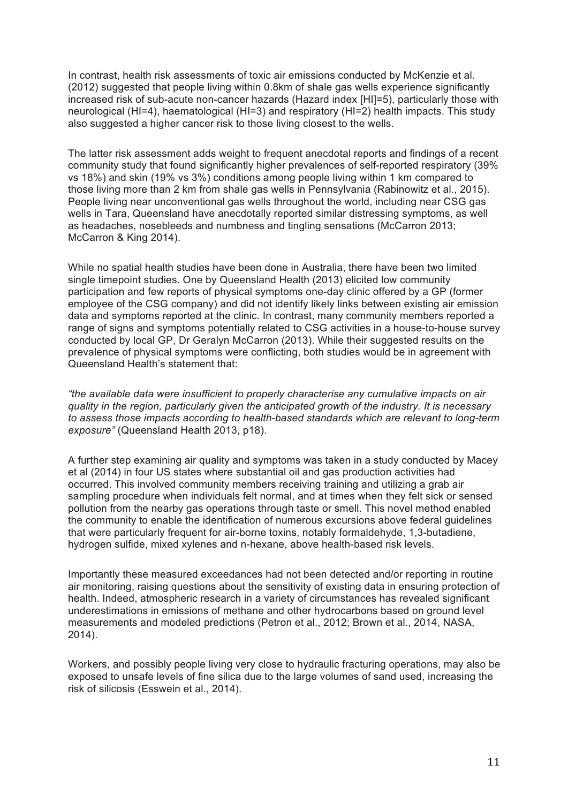In contrast, health risk assessments of toxic air emissions conducted by McKenzie et al. (2012) suggested that people living within 0.8km of shale gas wells experience significantly increased risk of sub-acute non-cancer hazards (Hazard index [HI]=5), particularly those with neurological (HI=4), haematological (HI=3) and respiratory (HI=2) health impacts. This study also suggested a higher cancer risk to those living closest to the wells.

The latter risk assessment adds weight to frequent anecdotal reports and findings of a recent community study that found significantly higher prevalences of self-reported respiratory (39% vs 18%) and skin (19% vs 3%) conditions among people living within 1 km compared to those living more than 2 km from shale gas wells in Pennsylvania (Rabinowitz et al., 2015). People living near unconventional gas wells throughout the world, including near CSG gas wells in Tara, Queensland have anecdotally reported similar distressing symptoms, as well as headaches, nosebleeds and numbness and tingling sensations (McCarron 2013; McCarron & King 2014).

While no spatial health studies have been done in Australia, there have been two limited single timepoint studies. One by Queensland Health (2013) elicited low community participation and few reports of physical symptoms one-day clinic offered by a GP (former employee of the CSG company) and did not identify likely links between existing air emission data and symptoms reported at the clinic. In contrast, many community members reported a range of signs and symptoms potentially related to CSG activities in a house-to-house survey conducted by local GP, Dr Geralyn McCarron (2013). While their suggested results on the prevalence of physical symptoms were conflicting, both studies would be in agreement with Queensland Health's statement that:

*"the available data were insufficient to properly characterise any cumulative impacts on air quality in the region, particularly given the anticipated growth of the industry. It is necessary to assess those impacts according to health-based standards which are relevant to long-term exposure"* (Queensland Health 2013, p18).

A further step examining air quality and symptoms was taken in a study conducted by Macey et al (2014) in four US states where substantial oil and gas production activities had occurred. This involved community members receiving training and utilizing a grab air sampling procedure when individuals felt normal, and at times when they felt sick or sensed pollution from the nearby gas operations through taste or smell. This novel method enabled the community to enable the identification of numerous excursions above federal guidelines that were particularly frequent for air-borne toxins, notably formaldehyde, 1,3-butadiene, hydrogen sulfide, mixed xylenes and n-hexane, above health-based risk levels.

Importantly these measured exceedances had not been detected and/or reporting in routine air monitoring, raising questions about the sensitivity of existing data in ensuring protection of health. Indeed, atmospheric research in a variety of circumstances has revealed significant underestimations in emissions of methane and other hydrocarbons based on ground level measurements and modeled predictions (Petron et al., 2012; Brown et al., 2014, NASA, 2014).

Workers, and possibly people living very close to hydraulic fracturing operations, may also be exposed to unsafe levels of fine silica due to the large volumes of sand used, increasing the risk of silicosis (Esswein et al., 2014).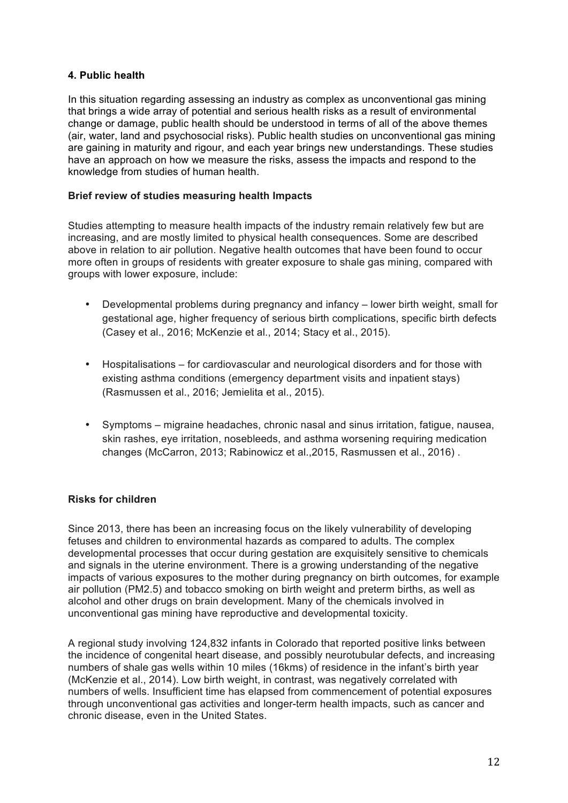### **4. Public health**

In this situation regarding assessing an industry as complex as unconventional gas mining that brings a wide array of potential and serious health risks as a result of environmental change or damage, public health should be understood in terms of all of the above themes (air, water, land and psychosocial risks). Public health studies on unconventional gas mining are gaining in maturity and rigour, and each year brings new understandings. These studies have an approach on how we measure the risks, assess the impacts and respond to the knowledge from studies of human health.

## **Brief review of studies measuring health Impacts**

Studies attempting to measure health impacts of the industry remain relatively few but are increasing, and are mostly limited to physical health consequences. Some are described above in relation to air pollution. Negative health outcomes that have been found to occur more often in groups of residents with greater exposure to shale gas mining, compared with groups with lower exposure, include:

- Developmental problems during pregnancy and infancy lower birth weight, small for gestational age, higher frequency of serious birth complications, specific birth defects (Casey et al., 2016; McKenzie et al., 2014; Stacy et al., 2015).
- Hospitalisations for cardiovascular and neurological disorders and for those with existing asthma conditions (emergency department visits and inpatient stays) (Rasmussen et al., 2016; Jemielita et al., 2015).
- Symptoms migraine headaches, chronic nasal and sinus irritation, fatigue, nausea, skin rashes, eye irritation, nosebleeds, and asthma worsening requiring medication changes (McCarron, 2013; Rabinowicz et al.,2015, Rasmussen et al., 2016) .

## **Risks for children**

Since 2013, there has been an increasing focus on the likely vulnerability of developing fetuses and children to environmental hazards as compared to adults. The complex developmental processes that occur during gestation are exquisitely sensitive to chemicals and signals in the uterine environment. There is a growing understanding of the negative impacts of various exposures to the mother during pregnancy on birth outcomes, for example air pollution (PM2.5) and tobacco smoking on birth weight and preterm births, as well as alcohol and other drugs on brain development. Many of the chemicals involved in unconventional gas mining have reproductive and developmental toxicity.

A regional study involving 124,832 infants in Colorado that reported positive links between the incidence of congenital heart disease, and possibly neurotubular defects, and increasing numbers of shale gas wells within 10 miles (16kms) of residence in the infant's birth year (McKenzie et al., 2014). Low birth weight, in contrast, was negatively correlated with numbers of wells. Insufficient time has elapsed from commencement of potential exposures through unconventional gas activities and longer-term health impacts, such as cancer and chronic disease, even in the United States.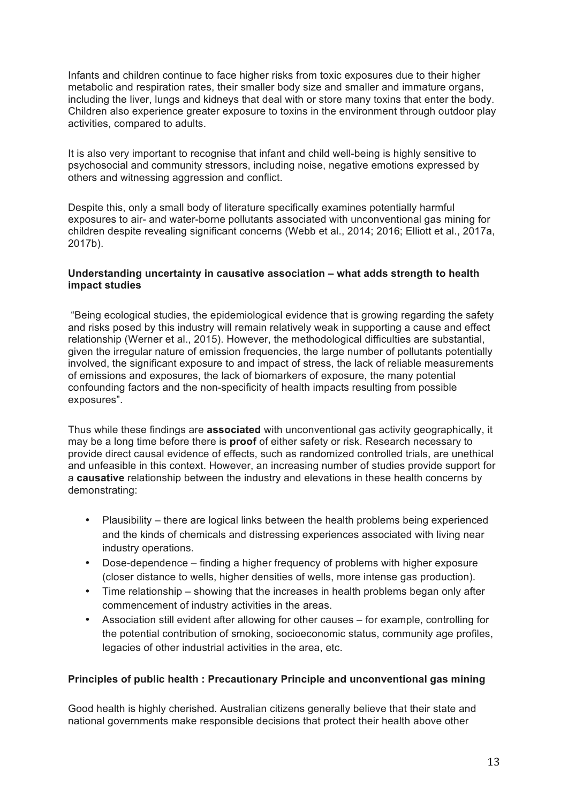Infants and children continue to face higher risks from toxic exposures due to their higher metabolic and respiration rates, their smaller body size and smaller and immature organs, including the liver, lungs and kidneys that deal with or store many toxins that enter the body. Children also experience greater exposure to toxins in the environment through outdoor play activities, compared to adults.

It is also very important to recognise that infant and child well-being is highly sensitive to psychosocial and community stressors, including noise, negative emotions expressed by others and witnessing aggression and conflict.

Despite this, only a small body of literature specifically examines potentially harmful exposures to air- and water-borne pollutants associated with unconventional gas mining for children despite revealing significant concerns (Webb et al., 2014; 2016; Elliott et al., 2017a, 2017b).

#### **Understanding uncertainty in causative association – what adds strength to health impact studies**

"Being ecological studies, the epidemiological evidence that is growing regarding the safety and risks posed by this industry will remain relatively weak in supporting a cause and effect relationship (Werner et al., 2015). However, the methodological difficulties are substantial, given the irregular nature of emission frequencies, the large number of pollutants potentially involved, the significant exposure to and impact of stress, the lack of reliable measurements of emissions and exposures, the lack of biomarkers of exposure, the many potential confounding factors and the non-specificity of health impacts resulting from possible exposures".

Thus while these findings are **associated** with unconventional gas activity geographically, it may be a long time before there is **proof** of either safety or risk. Research necessary to provide direct causal evidence of effects, such as randomized controlled trials, are unethical and unfeasible in this context. However, an increasing number of studies provide support for a **causative** relationship between the industry and elevations in these health concerns by demonstrating:

- Plausibility there are logical links between the health problems being experienced and the kinds of chemicals and distressing experiences associated with living near industry operations.
- Dose-dependence finding a higher frequency of problems with higher exposure (closer distance to wells, higher densities of wells, more intense gas production).
- Time relationship showing that the increases in health problems began only after commencement of industry activities in the areas.
- Association still evident after allowing for other causes for example, controlling for the potential contribution of smoking, socioeconomic status, community age profiles, legacies of other industrial activities in the area, etc.

### **Principles of public health : Precautionary Principle and unconventional gas mining**

Good health is highly cherished. Australian citizens generally believe that their state and national governments make responsible decisions that protect their health above other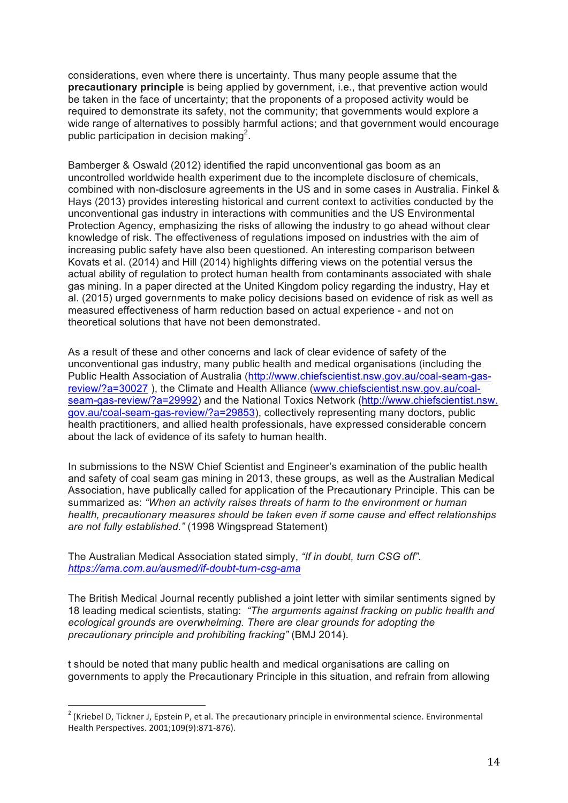considerations, even where there is uncertainty. Thus many people assume that the **precautionary principle** is being applied by government, i.e., that preventive action would be taken in the face of uncertainty; that the proponents of a proposed activity would be required to demonstrate its safety, not the community; that governments would explore a wide range of alternatives to possibly harmful actions; and that government would encourage public participation in decision making<sup>2</sup>.

Bamberger & Oswald (2012) identified the rapid unconventional gas boom as an uncontrolled worldwide health experiment due to the incomplete disclosure of chemicals, combined with non-disclosure agreements in the US and in some cases in Australia. Finkel & Hays (2013) provides interesting historical and current context to activities conducted by the unconventional gas industry in interactions with communities and the US Environmental Protection Agency, emphasizing the risks of allowing the industry to go ahead without clear knowledge of risk. The effectiveness of regulations imposed on industries with the aim of increasing public safety have also been questioned. An interesting comparison between Kovats et al. (2014) and Hill (2014) highlights differing views on the potential versus the actual ability of regulation to protect human health from contaminants associated with shale gas mining. In a paper directed at the United Kingdom policy regarding the industry, Hay et al. (2015) urged governments to make policy decisions based on evidence of risk as well as measured effectiveness of harm reduction based on actual experience - and not on theoretical solutions that have not been demonstrated.

As a result of these and other concerns and lack of clear evidence of safety of the unconventional gas industry, many public health and medical organisations (including the Public Health Association of Australia (http://www.chiefscientist.nsw.gov.au/coal-seam-gasreview/?a=30027 ), the Climate and Health Alliance (www.chiefscientist.nsw.gov.au/coalseam-gas-review/?a=29992) and the National Toxics Network (http://www.chiefscientist.nsw. gov.au/coal-seam-gas-review/?a=29853), collectively representing many doctors, public health practitioners, and allied health professionals, have expressed considerable concern about the lack of evidence of its safety to human health.

In submissions to the NSW Chief Scientist and Engineer's examination of the public health and safety of coal seam gas mining in 2013, these groups, as well as the Australian Medical Association, have publically called for application of the Precautionary Principle. This can be summarized as: *"When an activity raises threats of harm to the environment or human health, precautionary measures should be taken even if some cause and effect relationships are not fully established."* (1998 Wingspread Statement)

The Australian Medical Association stated simply, *"If in doubt, turn CSG off". https://ama.com.au/ausmed/if-doubt-turn-csg-ama* 

The British Medical Journal recently published a joint letter with similar sentiments signed by 18 leading medical scientists, stating: *"The arguments against fracking on public health and ecological grounds are overwhelming. There are clear grounds for adopting the precautionary principle and prohibiting fracking"* (BMJ 2014).

t should be noted that many public health and medical organisations are calling on governments to apply the Precautionary Principle in this situation, and refrain from allowing

 $2$  (Kriebel D, Tickner J, Epstein P, et al. The precautionary principle in environmental science. Environmental Health Perspectives. 2001;109(9):871-876).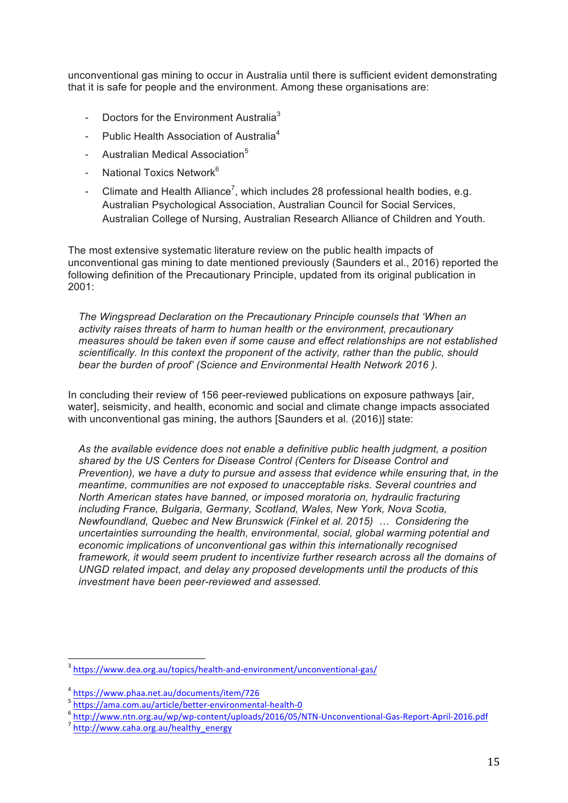unconventional gas mining to occur in Australia until there is sufficient evident demonstrating that it is safe for people and the environment. Among these organisations are:

- Doctors for the Environment Australia<sup>3</sup>
- Public Health Association of Australia<sup>4</sup>
- Australian Medical Association<sup>5</sup>
- National Toxics Network<sup>6</sup>
- Climate and Health Alliance<sup>7</sup>, which includes 28 professional health bodies, e.g. Australian Psychological Association, Australian Council for Social Services, Australian College of Nursing, Australian Research Alliance of Children and Youth.

The most extensive systematic literature review on the public health impacts of unconventional gas mining to date mentioned previously (Saunders et al., 2016) reported the following definition of the Precautionary Principle, updated from its original publication in 2001:

*The Wingspread Declaration on the Precautionary Principle counsels that 'When an activity raises threats of harm to human health or the environment, precautionary measures should be taken even if some cause and effect relationships are not established scientifically. In this context the proponent of the activity, rather than the public, should bear the burden of proof' (Science and Environmental Health Network 2016 ).*

In concluding their review of 156 peer-reviewed publications on exposure pathways [air, water], seismicity, and health, economic and social and climate change impacts associated with unconventional gas mining, the authors [Saunders et al. (2016)] state:

*As the available evidence does not enable a definitive public health judgment, a position shared by the US Centers for Disease Control (Centers for Disease Control and Prevention), we have a duty to pursue and assess that evidence while ensuring that, in the meantime, communities are not exposed to unacceptable risks. Several countries and North American states have banned, or imposed moratoria on, hydraulic fracturing including France, Bulgaria, Germany, Scotland, Wales, New York, Nova Scotia, Newfoundland, Quebec and New Brunswick (Finkel et al. 2015) … Considering the uncertainties surrounding the health, environmental, social, global warming potential and economic implications of unconventional gas within this internationally recognised framework, it would seem prudent to incentivize further research across all the domains of UNGD related impact, and delay any proposed developments until the products of this investment have been peer-reviewed and assessed.*

<sup>&</sup>lt;sup>3</sup> https://www.dea.org.au/topics/health-and-environment/unconventional-gas/

<sup>&</sup>lt;sup>4</sup> https://www.phaa.net.au/documents/item/726<br><sup>5</sup> https://ama.com.au/article/better-environmental-health-0

<sup>5</sup> http://www.ntn.org.au/wp/wp-content/uploads/2016/05/NTN-Unconventional-Gas-Report-April-2016.pdf<br>7 http://www.caha.org.au/healthy\_energy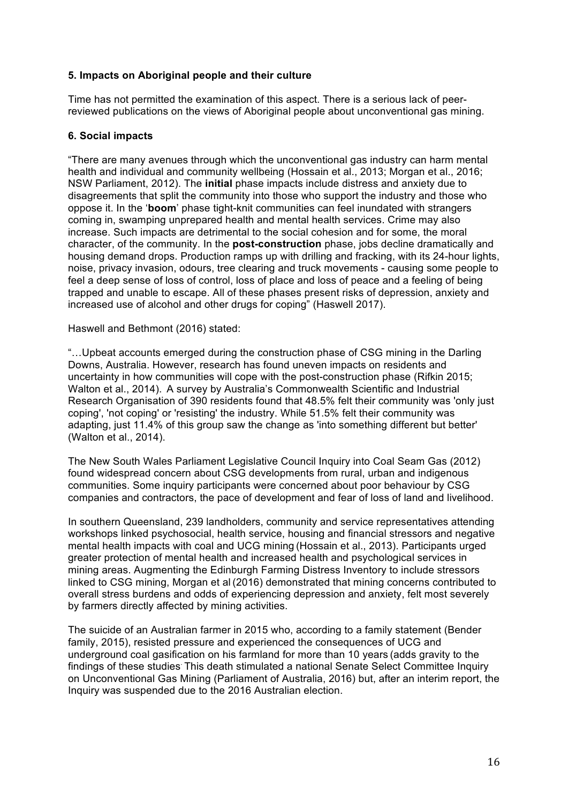### **5. Impacts on Aboriginal people and their culture**

Time has not permitted the examination of this aspect. There is a serious lack of peerreviewed publications on the views of Aboriginal people about unconventional gas mining.

### **6. Social impacts**

"There are many avenues through which the unconventional gas industry can harm mental health and individual and community wellbeing (Hossain et al., 2013; Morgan et al., 2016; NSW Parliament, 2012). The **initial** phase impacts include distress and anxiety due to disagreements that split the community into those who support the industry and those who oppose it. In the '**boom**' phase tight-knit communities can feel inundated with strangers coming in, swamping unprepared health and mental health services. Crime may also increase. Such impacts are detrimental to the social cohesion and for some, the moral character, of the community. In the **post-construction** phase, jobs decline dramatically and housing demand drops. Production ramps up with drilling and fracking, with its 24-hour lights, noise, privacy invasion, odours, tree clearing and truck movements - causing some people to feel a deep sense of loss of control, loss of place and loss of peace and a feeling of being trapped and unable to escape. All of these phases present risks of depression, anxiety and increased use of alcohol and other drugs for coping" (Haswell 2017).

Haswell and Bethmont (2016) stated:

"…Upbeat accounts emerged during the construction phase of CSG mining in the Darling Downs, Australia. However, research has found uneven impacts on residents and uncertainty in how communities will cope with the post-construction phase (Rifkin 2015; Walton et al., 2014). A survey by Australia's Commonwealth Scientific and Industrial Research Organisation of 390 residents found that 48.5% felt their community was 'only just coping', 'not coping' or 'resisting' the industry. While 51.5% felt their community was adapting, just 11.4% of this group saw the change as 'into something different but better' (Walton et al., 2014).

The New South Wales Parliament Legislative Council Inquiry into Coal Seam Gas (2012) found widespread concern about CSG developments from rural, urban and indigenous communities. Some inquiry participants were concerned about poor behaviour by CSG companies and contractors, the pace of development and fear of loss of land and livelihood.

In southern Queensland, 239 landholders, community and service representatives attending workshops linked psychosocial, health service, housing and financial stressors and negative mental health impacts with coal and UCG mining (Hossain et al., 2013). Participants urged greater protection of mental health and increased health and psychological services in mining areas. Augmenting the Edinburgh Farming Distress Inventory to include stressors linked to CSG mining, Morgan et al (2016) demonstrated that mining concerns contributed to overall stress burdens and odds of experiencing depression and anxiety, felt most severely by farmers directly affected by mining activities.

The suicide of an Australian farmer in 2015 who, according to a family statement (Bender family, 2015), resisted pressure and experienced the consequences of UCG and underground coal gasification on his farmland for more than 10 years (adds gravity to the findings of these studies. This death stimulated a national Senate Select Committee Inquiry on Unconventional Gas Mining (Parliament of Australia, 2016) but, after an interim report, the Inquiry was suspended due to the 2016 Australian election.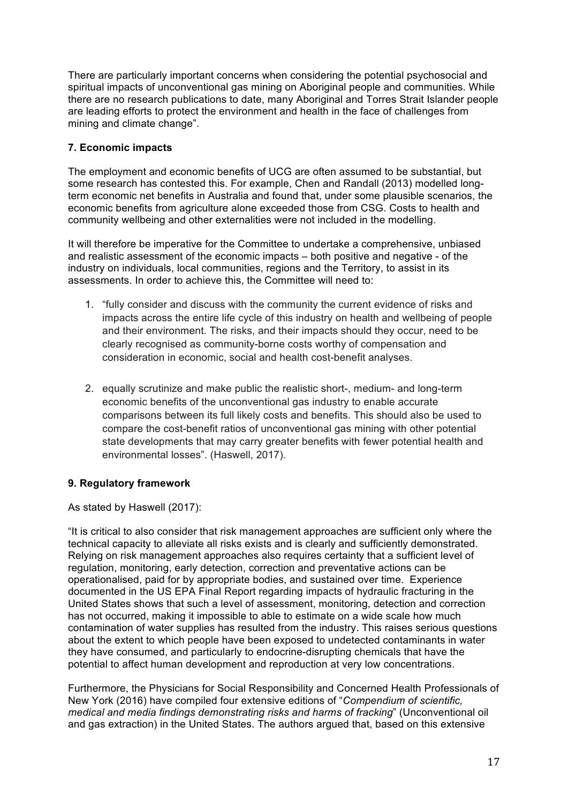There are particularly important concerns when considering the potential psychosocial and spiritual impacts of unconventional gas mining on Aboriginal people and communities. While there are no research publications to date, many Aboriginal and Torres Strait Islander people are leading efforts to protect the environment and health in the face of challenges from mining and climate change".

## **7. Economic impacts**

The employment and economic benefits of UCG are often assumed to be substantial, but some research has contested this. For example, Chen and Randall (2013) modelled longterm economic net benefits in Australia and found that, under some plausible scenarios, the economic benefits from agriculture alone exceeded those from CSG. Costs to health and community wellbeing and other externalities were not included in the modelling.

It will therefore be imperative for the Committee to undertake a comprehensive, unbiased and realistic assessment of the economic impacts – both positive and negative - of the industry on individuals, local communities, regions and the Territory, to assist in its assessments. In order to achieve this, the Committee will need to:

- 1. "fully consider and discuss with the community the current evidence of risks and impacts across the entire life cycle of this industry on health and wellbeing of people and their environment. The risks, and their impacts should they occur, need to be clearly recognised as community-borne costs worthy of compensation and consideration in economic, social and health cost-benefit analyses.
- 2. equally scrutinize and make public the realistic short-, medium- and long-term economic benefits of the unconventional gas industry to enable accurate comparisons between its full likely costs and benefits. This should also be used to compare the cost-benefit ratios of unconventional gas mining with other potential state developments that may carry greater benefits with fewer potential health and environmental losses". (Haswell, 2017).

## **9. Regulatory framework**

As stated by Haswell (2017):

"It is critical to also consider that risk management approaches are sufficient only where the technical capacity to alleviate all risks exists and is clearly and sufficiently demonstrated. Relying on risk management approaches also requires certainty that a sufficient level of regulation, monitoring, early detection, correction and preventative actions can be operationalised, paid for by appropriate bodies, and sustained over time. Experience documented in the US EPA Final Report regarding impacts of hydraulic fracturing in the United States shows that such a level of assessment, monitoring, detection and correction has not occurred, making it impossible to able to estimate on a wide scale how much contamination of water supplies has resulted from the industry. This raises serious questions about the extent to which people have been exposed to undetected contaminants in water they have consumed, and particularly to endocrine-disrupting chemicals that have the potential to affect human development and reproduction at very low concentrations.

Furthermore, the Physicians for Social Responsibility and Concerned Health Professionals of New York (2016) have compiled four extensive editions of "*Compendium of scientific, medical and media findings demonstrating risks and harms of fracking*" (Unconventional oil and gas extraction) in the United States. The authors argued that, based on this extensive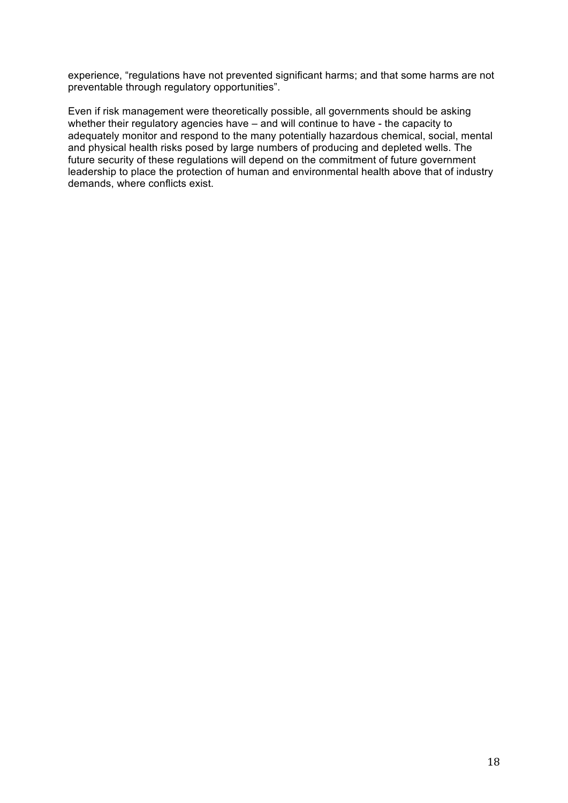experience, "regulations have not prevented significant harms; and that some harms are not preventable through regulatory opportunities".

Even if risk management were theoretically possible, all governments should be asking whether their regulatory agencies have – and will continue to have - the capacity to adequately monitor and respond to the many potentially hazardous chemical, social, mental and physical health risks posed by large numbers of producing and depleted wells. The future security of these regulations will depend on the commitment of future government leadership to place the protection of human and environmental health above that of industry demands, where conflicts exist.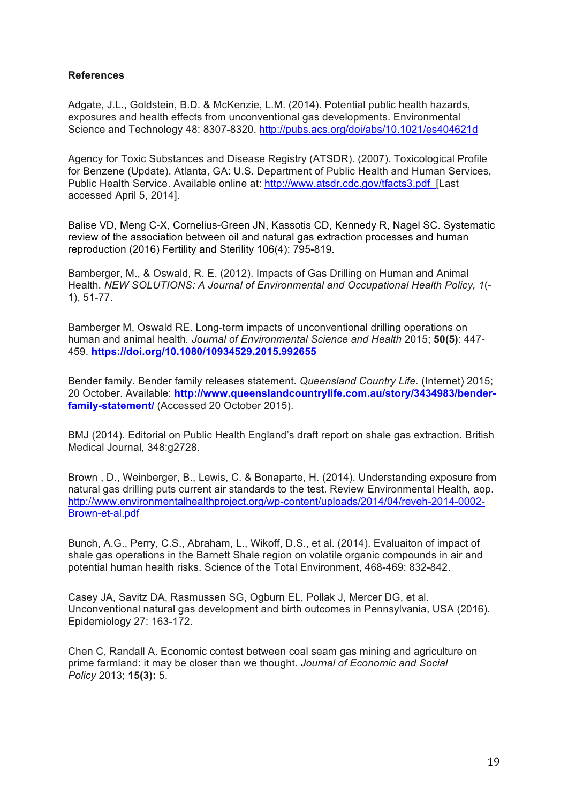### **References**

Adgate, J.L., Goldstein, B.D. & McKenzie, L.M. (2014). Potential public health hazards, exposures and health effects from unconventional gas developments. Environmental Science and Technology 48: 8307-8320. http://pubs.acs.org/doi/abs/10.1021/es404621d

Agency for Toxic Substances and Disease Registry (ATSDR). (2007). Toxicological Profile for Benzene (Update). Atlanta, GA: U.S. Department of Public Health and Human Services, Public Health Service. Available online at: http://www.atsdr.cdc.gov/tfacts3.pdf [Last accessed April 5, 2014].

Balise VD, Meng C-X, Cornelius-Green JN, Kassotis CD, Kennedy R, Nagel SC. Systematic review of the association between oil and natural gas extraction processes and human reproduction (2016) Fertility and Sterility 106(4): 795-819.

Bamberger, M., & Oswald, R. E. (2012). Impacts of Gas Drilling on Human and Animal Health. *NEW SOLUTIONS: A Journal of Environmental and Occupational Health Policy, 1*(- 1), 51-77.

Bamberger M, Oswald RE. Long-term impacts of unconventional drilling operations on human and animal health*. Journal of Environmental Science and Health* 2015; **50(5)**: 447- 459. **https://doi.org/10.1080/10934529.2015.992655**

Bender family. Bender family releases statement. *Queensland Country Life.* (Internet) 2015; 20 October. Available: **http://www.queenslandcountrylife.com.au/story/3434983/benderfamily-statement/** (Accessed 20 October 2015).

BMJ (2014). Editorial on Public Health England's draft report on shale gas extraction. British Medical Journal, 348:g2728.

Brown , D., Weinberger, B., Lewis, C. & Bonaparte, H. (2014). Understanding exposure from natural gas drilling puts current air standards to the test. Review Environmental Health, aop. http://www.environmentalhealthproject.org/wp-content/uploads/2014/04/reveh-2014-0002- Brown-et-al.pdf

Bunch, A.G., Perry, C.S., Abraham, L., Wikoff, D.S., et al. (2014). Evaluaiton of impact of shale gas operations in the Barnett Shale region on volatile organic compounds in air and potential human health risks. Science of the Total Environment, 468-469: 832-842.

Casey JA, Savitz DA, Rasmussen SG, Ogburn EL, Pollak J, Mercer DG, et al. Unconventional natural gas development and birth outcomes in Pennsylvania, USA (2016). Epidemiology 27: 163-172.

Chen C, Randall A. Economic contest between coal seam gas mining and agriculture on prime farmland: it may be closer than we thought. *Journal of Economic and Social Policy* 2013; **15(3):** 5.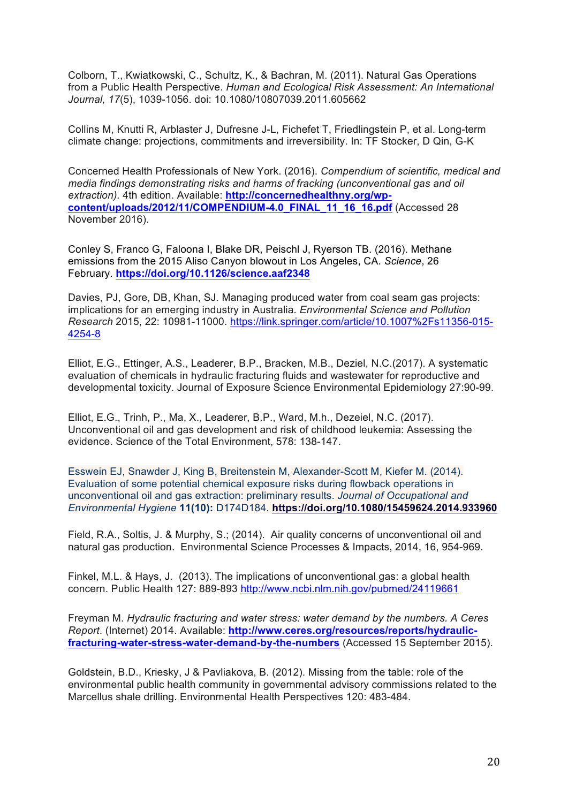Colborn, T., Kwiatkowski, C., Schultz, K., & Bachran, M. (2011). Natural Gas Operations from a Public Health Perspective. *Human and Ecological Risk Assessment: An International Journal, 17*(5), 1039-1056. doi: 10.1080/10807039.2011.605662

Collins M, Knutti R, Arblaster J, Dufresne J-L, Fichefet T, Friedlingstein P, et al. Long-term climate change: projections, commitments and irreversibility. In: TF Stocker, D Qin, G-K

Concerned Health Professionals of New York. (2016). *Compendium of scientific, medical and media findings demonstrating risks and harms of fracking (unconventional gas and oil extraction).* 4th edition. Available: **http://concernedhealthny.org/wpcontent/uploads/2012/11/COMPENDIUM-4.0\_FINAL\_11\_16\_16.pdf** (Accessed 28 November 2016).

Conley S, Franco G, Faloona I, Blake DR, Peischl J, Ryerson TB. (2016). Methane emissions from the 2015 Aliso Canyon blowout in Los Angeles, CA. *Science*, 26 February. **https://doi.org/10.1126/science.aaf2348**

Davies, PJ, Gore, DB, Khan, SJ. Managing produced water from coal seam gas projects: implications for an emerging industry in Australia. *Environmental Science and Pollution Research* 2015, 22: 10981-11000. https://link.springer.com/article/10.1007%2Fs11356-015- 4254-8

Elliot, E.G., Ettinger, A.S., Leaderer, B.P., Bracken, M.B., Deziel, N.C.(2017). A systematic evaluation of chemicals in hydraulic fracturing fluids and wastewater for reproductive and developmental toxicity. Journal of Exposure Science Environmental Epidemiology 27:90-99.

Elliot, E.G., Trinh, P., Ma, X., Leaderer, B.P., Ward, M.h., Dezeiel, N.C. (2017). Unconventional oil and gas development and risk of childhood leukemia: Assessing the evidence. Science of the Total Environment, 578: 138-147.

Esswein EJ, Snawder J, King B, Breitenstein M, Alexander-Scott M, Kiefer M. (2014). Evaluation of some potential chemical exposure risks during flowback operations in unconventional oil and gas extraction: preliminary results. *Journal of Occupational and Environmental Hygiene* **11(10):** D174D184. **https://doi.org/10.1080/15459624.2014.933960**

Field, R.A., Soltis, J. & Murphy, S.; (2014). Air quality concerns of unconventional oil and natural gas production. Environmental Science Processes & Impacts, 2014, 16, 954-969.

Finkel, M.L. & Hays, J. (2013). The implications of unconventional gas: a global health concern. Public Health 127: 889-893 http://www.ncbi.nlm.nih.gov/pubmed/24119661

Freyman M. *Hydraulic fracturing and water stress: water demand by the numbers. A Ceres Report*. (Internet) 2014. Available: **http://www.ceres.org/resources/reports/hydraulicfracturing-water-stress-water-demand-by-the-numbers** (Accessed 15 September 2015).

Goldstein, B.D., Kriesky, J & Pavliakova, B. (2012). Missing from the table: role of the environmental public health community in governmental advisory commissions related to the Marcellus shale drilling. Environmental Health Perspectives 120: 483-484.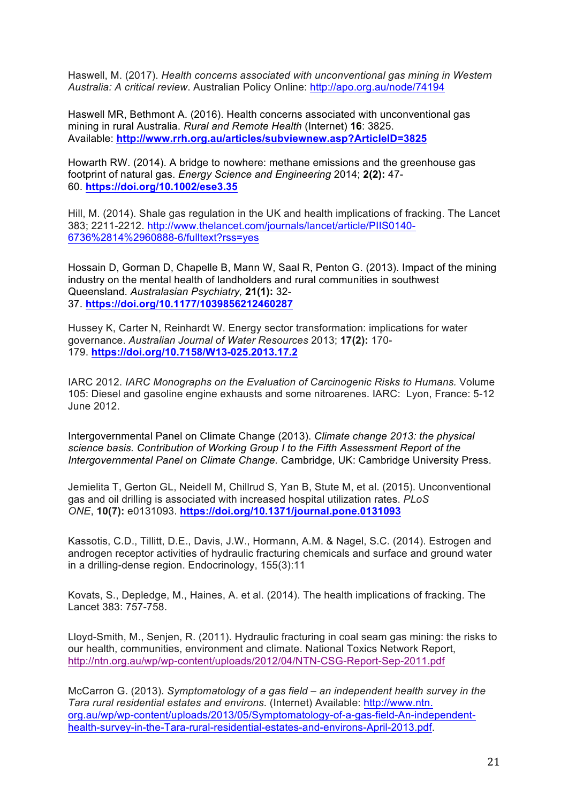Haswell, M. (2017). *Health concerns associated with unconventional gas mining in Western Australia: A critical review*. Australian Policy Online: http://apo.org.au/node/74194

Haswell MR, Bethmont A. (2016). Health concerns associated with unconventional gas mining in rural Australia. *Rural and Remote Health* (Internet) **16**: 3825. Available: **http://www.rrh.org.au/articles/subviewnew.asp?ArticleID=3825**

Howarth RW. (2014). A bridge to nowhere: methane emissions and the greenhouse gas footprint of natural gas. *Energy Science and Engineering* 2014; **2(2):** 47- 60. **https://doi.org/10.1002/ese3.35**

Hill, M. (2014). Shale gas regulation in the UK and health implications of fracking. The Lancet 383; 2211-2212. http://www.thelancet.com/journals/lancet/article/PIIS0140- 6736%2814%2960888-6/fulltext?rss=yes

Hossain D, Gorman D, Chapelle B, Mann W, Saal R, Penton G. (2013). Impact of the mining industry on the mental health of landholders and rural communities in southwest Queensland. *Australasian Psychiatry,* **21(1):** 32- 37. **https://doi.org/10.1177/1039856212460287**

Hussey K, Carter N, Reinhardt W. Energy sector transformation: implications for water governance. *Australian Journal of Water Resources* 2013; **17(2):** 170- 179. **https://doi.org/10.7158/W13-025.2013.17.2**

IARC 2012. *IARC Monographs on the Evaluation of Carcinogenic Risks to Humans.* Volume 105: Diesel and gasoline engine exhausts and some nitroarenes. IARC: Lyon, France: 5-12 June 2012.

Intergovernmental Panel on Climate Change (2013). *Climate change 2013: the physical science basis. Contribution of Working Group I to the Fifth Assessment Report of the Intergovernmental Panel on Climate Change.* Cambridge, UK: Cambridge University Press.

Jemielita T, Gerton GL, Neidell M, Chillrud S, Yan B, Stute M, et al. (2015). Unconventional gas and oil drilling is associated with increased hospital utilization rates. *PLoS ONE*, **10(7):** e0131093. **https://doi.org/10.1371/journal.pone.0131093**

Kassotis, C.D., Tillitt, D.E., Davis, J.W., Hormann, A.M. & Nagel, S.C. (2014). Estrogen and androgen receptor activities of hydraulic fracturing chemicals and surface and ground water in a drilling-dense region. Endocrinology, 155(3):11

Kovats, S., Depledge, M., Haines, A. et al. (2014). The health implications of fracking. The Lancet 383: 757-758.

Lloyd-Smith, M., Senjen, R. (2011). Hydraulic fracturing in coal seam gas mining: the risks to our health, communities, environment and climate. National Toxics Network Report, http://ntn.org.au/wp/wp-content/uploads/2012/04/NTN-CSG-Report-Sep-2011.pdf

McCarron G. (2013). *Symptomatology of a gas field – an independent health survey in the Tara rural residential estates and environs.* (Internet) Available: http://www.ntn. org.au/wp/wp-content/uploads/2013/05/Symptomatology-of-a-gas-field-An-independenthealth-survey-in-the-Tara-rural-residential-estates-and-environs-April-2013.pdf.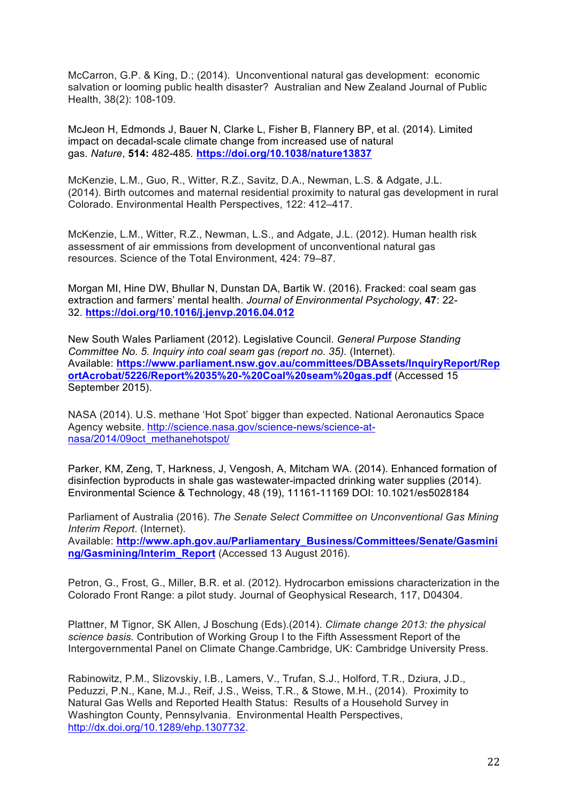McCarron, G.P. & King, D.; (2014). Unconventional natural gas development: economic salvation or looming public health disaster? Australian and New Zealand Journal of Public Health, 38(2): 108-109.

McJeon H, Edmonds J, Bauer N, Clarke L, Fisher B, Flannery BP, et al. (2014). Limited impact on decadal-scale climate change from increased use of natural gas. *Nature*, **514:** 482-485*.* **https://doi.org/10.1038/nature13837**

McKenzie, L.M., Guo, R., Witter, R.Z., Savitz, D.A., Newman, L.S. & Adgate, J.L. (2014). Birth outcomes and maternal residential proximity to natural gas development in rural Colorado. Environmental Health Perspectives, 122: 412–417.

McKenzie, L.M., Witter, R.Z., Newman, L.S., and Adgate, J.L. (2012). Human health risk assessment of air emmissions from development of unconventional natural gas resources. Science of the Total Environment, 424: 79–87.

Morgan MI, Hine DW, Bhullar N, Dunstan DA, Bartik W. (2016). Fracked: coal seam gas extraction and farmers' mental health. *Journal of Environmental Psychology*, **47**: 22- 32. **https://doi.org/10.1016/j.jenvp.2016.04.012**

New South Wales Parliament (2012). Legislative Council. *General Purpose Standing Committee No. 5. Inquiry into coal seam gas (report no. 35).* (Internet). Available: **https://www.parliament.nsw.gov.au/committees/DBAssets/InquiryReport/Rep ortAcrobat/5226/Report%2035%20-%20Coal%20seam%20gas.pdf** (Accessed 15 September 2015).

NASA (2014). U.S. methane 'Hot Spot' bigger than expected. National Aeronautics Space Agency website. http://science.nasa.gov/science-news/science-atnasa/2014/09oct\_methanehotspot/

Parker, KM, Zeng, T, Harkness, J, Vengosh, A, Mitcham WA. (2014). Enhanced formation of disinfection byproducts in shale gas wastewater-impacted drinking water supplies (2014). Environmental Science & Technology, 48 (19), 11161-11169 DOI: 10.1021/es5028184

Parliament of Australia (2016). *The Senate Select Committee on Unconventional Gas Mining Interim Report*. (Internet). Available: **http://www.aph.gov.au/Parliamentary\_Business/Committees/Senate/Gasmini ng/Gasmining/Interim\_Report** (Accessed 13 August 2016).

Petron, G., Frost, G., Miller, B.R. et al. (2012). Hydrocarbon emissions characterization in the Colorado Front Range: a pilot study. Journal of Geophysical Research, 117, D04304.

Plattner, M Tignor, SK Allen, J Boschung (Eds).(2014). *Climate change 2013: the physical science basis.* Contribution of Working Group I to the Fifth Assessment Report of the Intergovernmental Panel on Climate Change.Cambridge, UK: Cambridge University Press.

Rabinowitz, P.M., Slizovskiy, I.B., Lamers, V., Trufan, S.J., Holford, T.R., Dziura, J.D., Peduzzi, P.N., Kane, M.J., Reif, J.S., Weiss, T.R., & Stowe, M.H., (2014). Proximity to Natural Gas Wells and Reported Health Status: Results of a Household Survey in Washington County, Pennsylvania. Environmental Health Perspectives, http://dx.doi.org/10.1289/ehp.1307732.